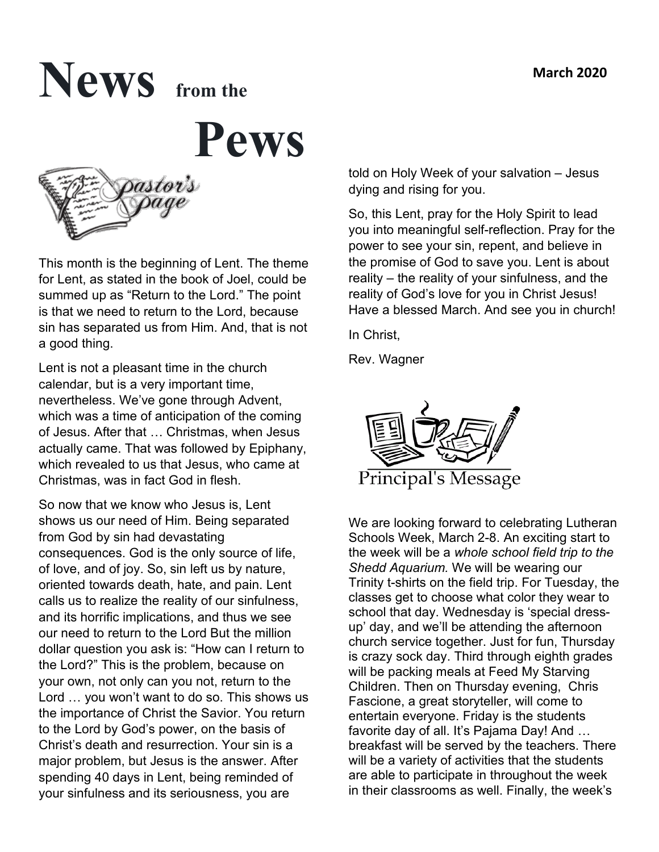# **News from the**

 **Pews** 



This month is the beginning of Lent. The theme for Lent, as stated in the book of Joel, could be summed up as "Return to the Lord." The point is that we need to return to the Lord, because sin has separated us from Him. And, that is not a good thing.

Lent is not a pleasant time in the church calendar, but is a very important time, nevertheless. We've gone through Advent, which was a time of anticipation of the coming of Jesus. After that … Christmas, when Jesus actually came. That was followed by Epiphany, which revealed to us that Jesus, who came at Christmas, was in fact God in flesh.

So now that we know who Jesus is, Lent shows us our need of Him. Being separated from God by sin had devastating consequences. God is the only source of life, of love, and of joy. So, sin left us by nature, oriented towards death, hate, and pain. Lent calls us to realize the reality of our sinfulness, and its horrific implications, and thus we see our need to return to the Lord But the million dollar question you ask is: "How can I return to the Lord?" This is the problem, because on your own, not only can you not, return to the Lord … you won't want to do so. This shows us the importance of Christ the Savior. You return to the Lord by God's power, on the basis of Christ's death and resurrection. Your sin is a major problem, but Jesus is the answer. After spending 40 days in Lent, being reminded of your sinfulness and its seriousness, you are

told on Holy Week of your salvation – Jesus dying and rising for you.

So, this Lent, pray for the Holy Spirit to lead you into meaningful self-reflection. Pray for the power to see your sin, repent, and believe in the promise of God to save you. Lent is about reality – the reality of your sinfulness, and the reality of God's love for you in Christ Jesus! Have a blessed March. And see you in church!

In Christ,

Rev. Wagner



We are looking forward to celebrating Lutheran Schools Week, March 2-8. An exciting start to the week will be a *whole school field trip to the Shedd Aquarium.* We will be wearing our Trinity t-shirts on the field trip. For Tuesday, the classes get to choose what color they wear to school that day. Wednesday is 'special dressup' day, and we'll be attending the afternoon church service together. Just for fun, Thursday is crazy sock day. Third through eighth grades will be packing meals at Feed My Starving Children. Then on Thursday evening, Chris Fascione, a great storyteller, will come to entertain everyone. Friday is the students favorite day of all. It's Pajama Day! And … breakfast will be served by the teachers. There will be a variety of activities that the students are able to participate in throughout the week in their classrooms as well. Finally, the week's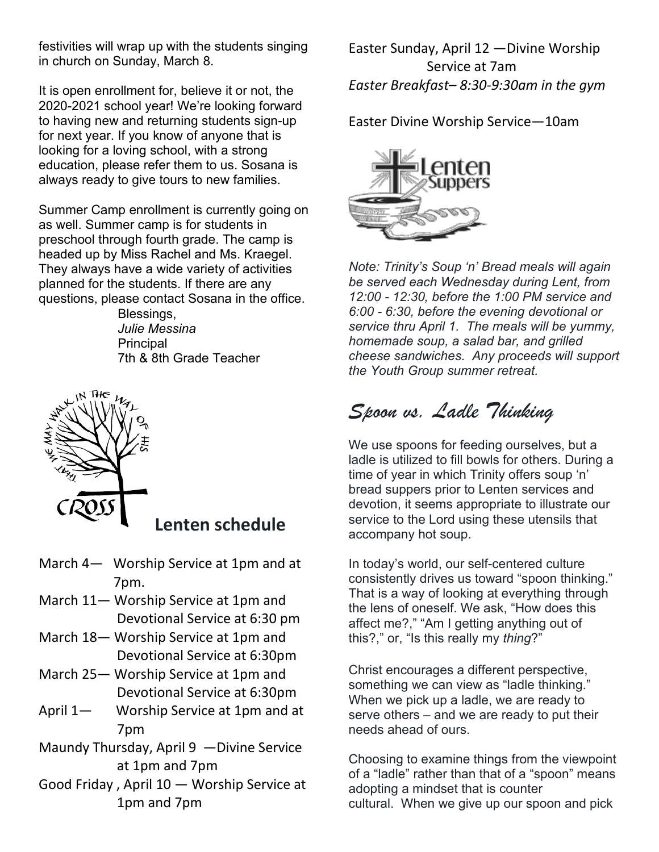festivities will wrap up with the students singing in church on Sunday, March 8.

It is open enrollment for, believe it or not, the 2020-2021 school year! We're looking forward to having new and returning students sign-up for next year. If you know of anyone that is looking for a loving school, with a strong education, please refer them to us. Sosana is always ready to give tours to new families.

Summer Camp enrollment is currently going on as well. Summer camp is for students in preschool through fourth grade. The camp is headed up by Miss Rachel and Ms. Kraegel. They always have a wide variety of activities planned for the students. If there are any questions, please contact Sosana in the office.

 Blessings,  *Julie Messina* **Principal** 7th & 8th Grade Teacher



### **Lenten schedule**

- March 4— Worship Service at 1pm and at 7pm.
- March 11— Worship Service at 1pm and Devotional Service at 6:30 pm
- March 18— Worship Service at 1pm and Devotional Service at 6:30pm
- March 25— Worship Service at 1pm and Devotional Service at 6:30pm
- April 1— Worship Service at 1pm and at 7pm
- Maundy Thursday, April 9 —Divine Service at 1pm and 7pm
- Good Friday , April 10 Worship Service at 1pm and 7pm

Easter Sunday, April 12 —Divine Worship Service at 7am *Easter Breakfast– 8:30-9:30am in the gym*

Easter Divine Worship Service—10am



*Note: Trinity's Soup 'n' Bread meals will again be served each Wednesday during Lent, from 12:00 - 12:30, before the 1:00 PM service and 6:00 - 6:30, before the evening devotional or service thru April 1. The meals will be yummy, homemade soup, a salad bar, and grilled cheese sandwiches. Any proceeds will support the Youth Group summer retreat.*

## *Spoon vs. Ladle Thinking*

We use spoons for feeding ourselves, but a ladle is utilized to fill bowls for others. During a time of year in which Trinity offers soup 'n' bread suppers prior to Lenten services and devotion, it seems appropriate to illustrate our service to the Lord using these utensils that accompany hot soup.

In today's world, our self-centered culture consistently drives us toward "spoon thinking." That is a way of looking at everything through the lens of oneself. We ask, "How does this affect me?," "Am I getting anything out of this?," or, "Is this really my *thing*?"

Christ encourages a different perspective, something we can view as "ladle thinking." When we pick up a ladle, we are ready to serve others – and we are ready to put their needs ahead of ours.

Choosing to examine things from the viewpoint of a "ladle" rather than that of a "spoon" means adopting a mindset that is counter cultural. When we give up our spoon and pick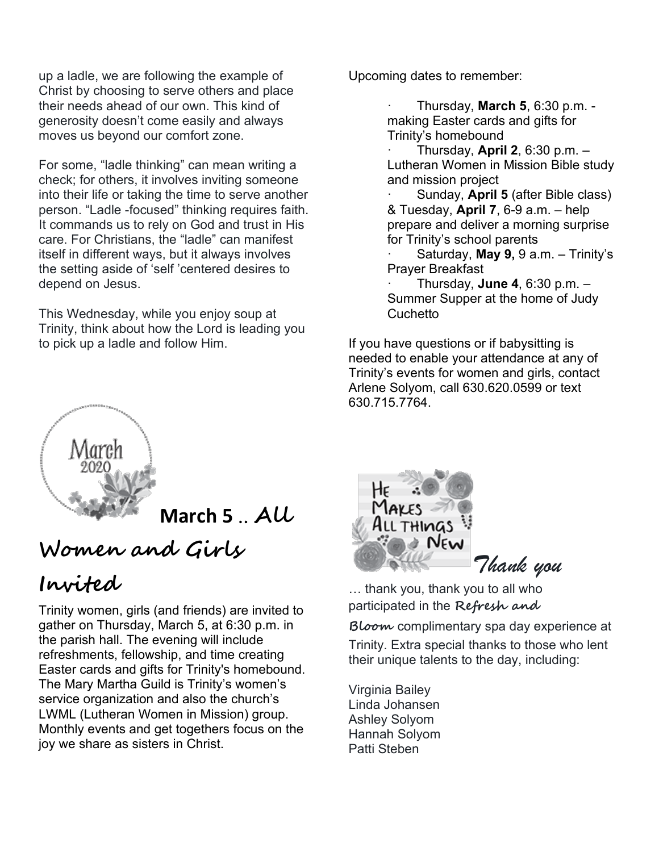up a ladle, we are following the example of Christ by choosing to serve others and place their needs ahead of our own. This kind of generosity doesn't come easily and always moves us beyond our comfort zone.

For some, "ladle thinking" can mean writing a check; for others, it involves inviting someone into their life or taking the time to serve another person. "Ladle -focused" thinking requires faith. It commands us to rely on God and trust in His care. For Christians, the "ladle" can manifest itself in different ways, but it always involves the setting aside of 'self 'centered desires to depend on Jesus.

This Wednesday, while you enjoy soup at Trinity, think about how the Lord is leading you to pick up a ladle and follow Him.

Upcoming dates to remember:

· Thursday, **March 5**, 6:30 p.m. making Easter cards and gifts for Trinity's homebound

· Thursday, **April 2**, 6:30 p.m. – Lutheran Women in Mission Bible study and mission project

· Sunday, **April 5** (after Bible class) & Tuesday, **April 7**, 6-9 a.m. – help prepare and deliver a morning surprise for Trinity's school parents

· Saturday, **May 9,** 9 a.m. – Trinity's Prayer Breakfast

· Thursday, **June 4**, 6:30 p.m. – Summer Supper at the home of Judy **Cuchetto** 

If you have questions or if babysitting is needed to enable your attendance at any of Trinity's events for women and girls, contact Arlene Solyom, call 630.620.0599 or text 630.715.7764.



**March 5** .. **All** 

## **Women and Girls**

## **Invited**

Trinity women, girls (and friends) are invited to gather on Thursday, March 5, at 6:30 p.m. in the parish hall. The evening will include refreshments, fellowship, and time creating Easter cards and gifts for Trinity's homebound. The Mary Martha Guild is Trinity's women's service organization and also the church's LWML (Lutheran Women in Mission) group. Monthly events and get togethers focus on the joy we share as sisters in Christ.



… thank you, thank you to all who participated in the **Refresh and** 

**Bloom** complimentary spa day experience at Trinity. Extra special thanks to those who lent their unique talents to the day, including:

Virginia Bailey Linda Johansen Ashley Solyom Hannah Solyom Patti Steben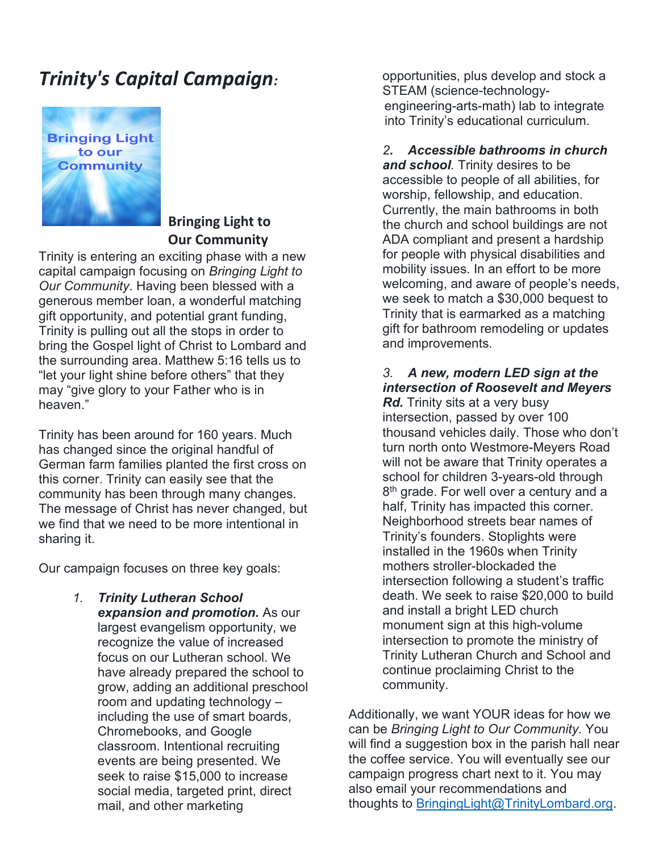## *Trinity's Capital Campaign:*



#### **Bringing Light to Our Community**

Trinity is entering an exciting phase with a new capital campaign focusing on *Bringing Light to Our Community*. Having been blessed with a generous member loan, a wonderful matching gift opportunity, and potential grant funding, Trinity is pulling out all the stops in order to bring the Gospel light of Christ to Lombard and the surrounding area. Matthew 5:16 tells us to "let your light shine before others" that they may "give glory to your Father who is in heaven."

Trinity has been around for 160 years. Much has changed since the original handful of German farm families planted the first cross on this corner. Trinity can easily see that the community has been through many changes. The message of Christ has never changed, but we find that we need to be more intentional in sharing it.

Our campaign focuses on three key goals:

*1. Trinity Lutheran School expansion and promotion.* As our largest evangelism opportunity, we recognize the value of increased focus on our Lutheran school. We have already prepared the school to grow, adding an additional preschool room and updating technology – including the use of smart boards, Chromebooks, and Google classroom. Intentional recruiting events are being presented. We seek to raise \$15,000 to increase social media, targeted print, direct mail, and other marketing

opportunities, plus develop and stock a STEAM (science-technology engineering-arts-math) lab to integrate into Trinity's educational curriculum.

#### *2.**Accessible bathrooms in church and school.* Trinity desires to be accessible to people of all abilities, for worship, fellowship, and education. Currently, the main bathrooms in both the church and school buildings are not ADA compliant and present a hardship for people with physical disabilities and mobility issues. In an effort to be more welcoming, and aware of people's needs, we seek to match a \$30,000 bequest to Trinity that is earmarked as a matching gift for bathroom remodeling or updates and improvements.

#### *3. A new, modern LED sign at the intersection of Roosevelt and Meyers*

*Rd.* Trinity sits at a very busy intersection, passed by over 100 thousand vehicles daily. Those who don't turn north onto Westmore-Meyers Road will not be aware that Trinity operates a school for children 3-years-old through 8<sup>th</sup> grade. For well over a century and a half, Trinity has impacted this corner. Neighborhood streets bear names of Trinity's founders. Stoplights were installed in the 1960s when Trinity mothers stroller-blockaded the intersection following a student's traffic death. We seek to raise \$20,000 to build and install a bright LED church monument sign at this high-volume intersection to promote the ministry of Trinity Lutheran Church and School and continue proclaiming Christ to the community.

Additionally, we want YOUR ideas for how we can be *Bringing Light to Our Community*. You will find a suggestion box in the parish hall near the coffee service. You will eventually see our campaign progress chart next to it. You may also email your recommendations and thoughts to [BringingLight@TrinityLombard.org.](mailto:BringingLight@TrinityLombard.org)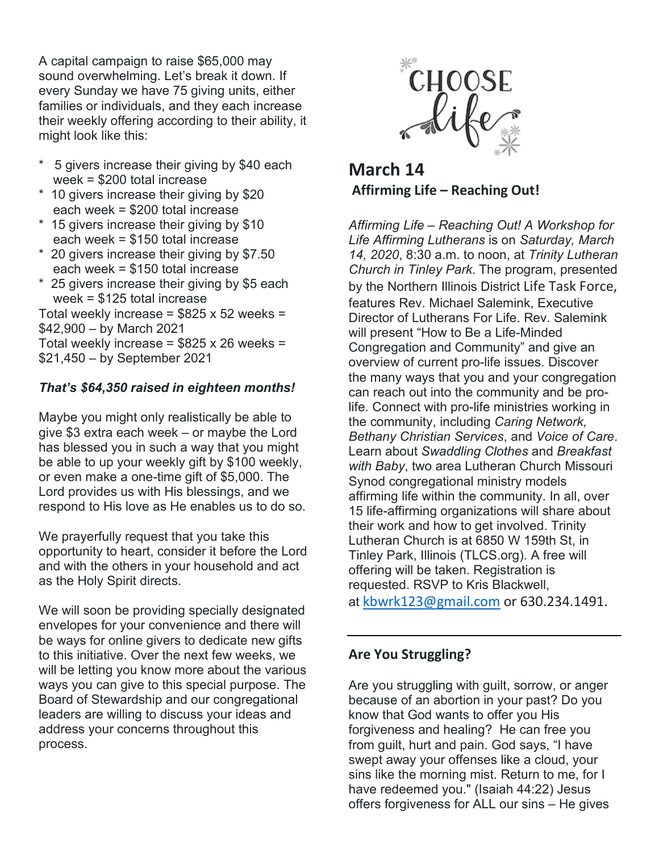A capital campaign to raise \$65,000 may sound overwhelming. Let's break it down. If every Sunday we have 75 giving units, either families or individuals, and they each increase their weekly offering according to their ability, it might look like this:

- \* 5 givers increase their giving by \$40 each week = \$200 total increase
- \* 10 givers increase their giving by \$20 each week = \$200 total increase
- \* 15 givers increase their giving by \$10 each week = \$150 total increase
- \* 20 givers increase their giving by \$7.50 each week = \$150 total increase
- \* 25 givers increase their giving by \$5 each week = \$125 total increase

Total weekly increase =  $$825 \times 52$  weeks = \$42,900 – by March 2021 Total weekly increase =  $$825 \times 26$  weeks = \$21,450 – by September 2021

#### *That's \$64,350 raised in eighteen months!*

Maybe you might only realistically be able to give \$3 extra each week – or maybe the Lord has blessed you in such a way that you might be able to up your weekly gift by \$100 weekly, or even make a one-time gift of \$5,000. The Lord provides us with His blessings, and we respond to His love as He enables us to do so.

We prayerfully request that you take this opportunity to heart, consider it before the Lord and with the others in your household and act as the Holy Spirit directs.

We will soon be providing specially designated envelopes for your convenience and there will be ways for online givers to dedicate new gifts to this initiative. Over the next few weeks, we will be letting you know more about the various ways you can give to this special purpose. The Board of Stewardship and our congregational leaders are willing to discuss your ideas and address your concerns throughout this process.



**March 14 Affirming Life – Reaching Out!**

*Affirming Life – Reaching Out! A Workshop for Life Affirming Lutherans* is on *Saturday, March 14, 2020*, 8:30 a.m. to noon, at *Trinity Lutheran Church in Tinley Park*. The program, presented by the Northern Illinois District Life Task Force, features Rev. Michael Salemink, Executive Director of Lutherans For Life. Rev. Salemink will present "How to Be a Life-Minded Congregation and Community" and give an overview of current pro-life issues. Discover the many ways that you and your congregation can reach out into the community and be prolife. Connect with pro-life ministries working in the community, including *Caring Network, Bethany Christian Services*, and *Voice of Care*. Learn about *Swaddling Clothes* and *Breakfast with Baby*, two area Lutheran Church Missouri Synod congregational ministry models affirming life within the community. In all, over 15 life-affirming organizations will share about their work and how to get involved. Trinity Lutheran Church is at 6850 W 159th St, in Tinley Park, Illinois (TLCS.org). A free will offering will be taken. Registration is requested. RSVP to Kris Blackwell, at [kbwrk123@gmail.com](mailto:kbwrk123@gmail.com) or 630.234.1491.

#### **Are You Struggling?**

Are you struggling with guilt, sorrow, or anger because of an abortion in your past? Do you know that God wants to offer you His forgiveness and healing? He can free you from guilt, hurt and pain. God says, "I have swept away your offenses like a cloud, your sins like the morning mist. Return to me, for I have redeemed you." (Isaiah 44:22) Jesus offers forgiveness for ALL our sins – He gives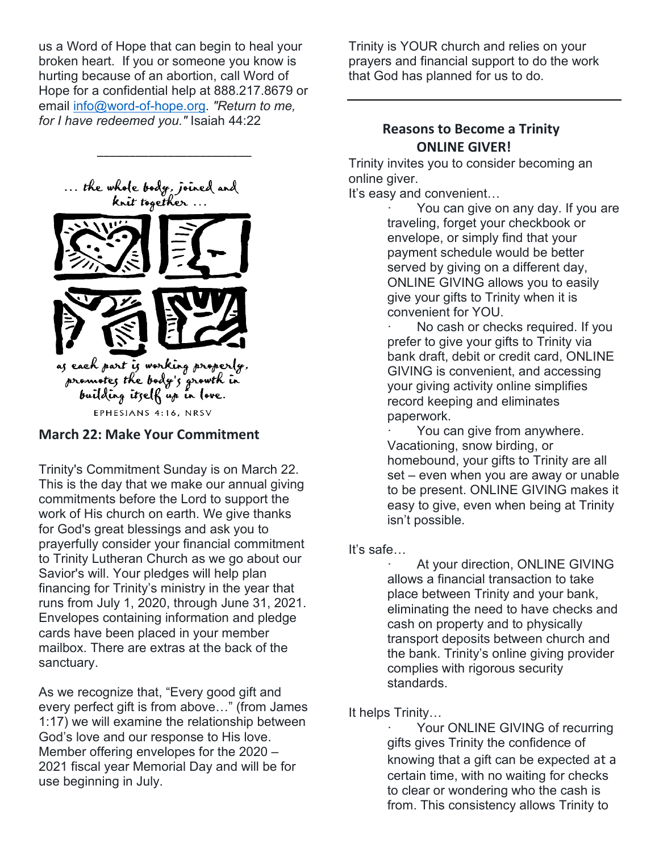us a Word of Hope that can begin to heal your broken heart. If you or someone you know is hurting because of an abortion, call Word of Hope for a confidential help at 888.217.8679 or email [info@word-of-hope.org.](mailto:info@word-of-hope.org) *"Return to me, for I have redeemed you."* Isaiah 44:22

\_\_\_\_\_\_\_\_\_\_\_\_\_\_\_\_\_\_\_\_\_\_\_\_



**March 22: Make Your Commitment**

EPHESIANS 4:16, NRSV

Trinity's Commitment Sunday is on March 22. This is the day that we make our annual giving commitments before the Lord to support the work of His church on earth. We give thanks for God's great blessings and ask you to prayerfully consider your financial commitment to Trinity Lutheran Church as we go about our Savior's will. Your pledges will help plan financing for Trinity's ministry in the year that runs from July 1, 2020, through June 31, 2021. Envelopes containing information and pledge cards have been placed in your member mailbox. There are extras at the back of the sanctuary.

As we recognize that, "Every good gift and every perfect gift is from above…" (from James 1:17) we will examine the relationship between God's love and our response to His love. Member offering envelopes for the 2020 – 2021 fiscal year Memorial Day and will be for use beginning in July.

Trinity is YOUR church and relies on your prayers and financial support to do the work that God has planned for us to do.

#### **Reasons to Become a Trinity ONLINE GIVER!**

Trinity invites you to consider becoming an online giver.

It's easy and convenient…

You can give on any day. If you are traveling, forget your checkbook or envelope, or simply find that your payment schedule would be better served by giving on a different day, ONLINE GIVING allows you to easily give your gifts to Trinity when it is convenient for YOU.

No cash or checks required. If you prefer to give your gifts to Trinity via bank draft, debit or credit card, ONLINE GIVING is convenient, and accessing your giving activity online simplifies record keeping and eliminates paperwork.

You can give from anywhere. Vacationing, snow birding, or homebound, your gifts to Trinity are all set – even when you are away or unable to be present. ONLINE GIVING makes it easy to give, even when being at Trinity isn't possible.

It's safe…

At your direction, ONLINE GIVING allows a financial transaction to take place between Trinity and your bank, eliminating the need to have checks and cash on property and to physically transport deposits between church and the bank. Trinity's online giving provider complies with rigorous security standards.

It helps Trinity…

Your ONLINE GIVING of recurring gifts gives Trinity the confidence of knowing that a gift can be expected at a certain time, with no waiting for checks to clear or wondering who the cash is from. This consistency allows Trinity to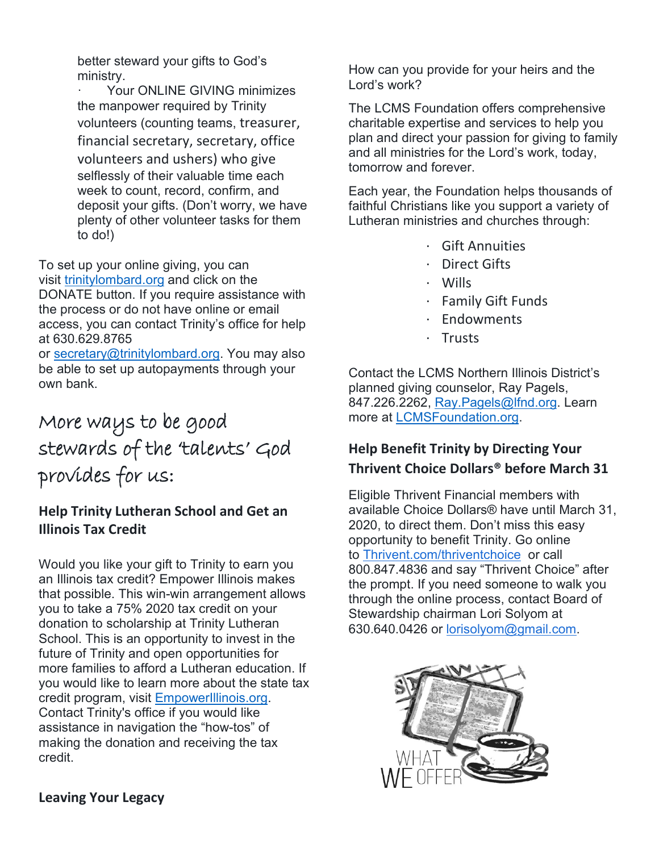better steward your gifts to God's ministry.

Your ONLINE GIVING minimizes the manpower required by Trinity volunteers (counting teams, treasurer, financial secretary, secretary, office volunteers and ushers) who give selflessly of their valuable time each week to count, record, confirm, and deposit your gifts. (Don't worry, we have plenty of other volunteer tasks for them to do!)

To set up your online giving, you can visit [trinitylombard.org](https://www.trinitylombard.org/) and click on the DONATE button. If you require assistance with the process or do not have online or email access, you can contact Trinity's office for help at 630.629.8765

or [secretary@trinitylombard.org.](http://secretary@trinitylombard.org/) You may also be able to set up autopayments through your own bank.

## More ways to be good stewards of the 'talents' God provides for us:

#### **Help Trinity Lutheran School and Get an Illinois Tax Credit**

Would you like your gift to Trinity to earn you an Illinois tax credit? Empower Illinois makes that possible. This win-win arrangement allows you to take a 75% 2020 tax credit on your donation to scholarship at Trinity Lutheran School. This is an opportunity to invest in the future of Trinity and open opportunities for more families to afford a Lutheran education. If you would like to learn more about the state tax credit program, visit [EmpowerIllinois.org.](http://www.empowerillinois.org/) Contact Trinity's office if you would like assistance in navigation the "how-tos" of making the donation and receiving the tax credit.

How can you provide for your heirs and the Lord's work?

The LCMS Foundation offers comprehensive charitable expertise and services to help you plan and direct your passion for giving to family and all ministries for the Lord's work, today, tomorrow and forever.

Each year, the Foundation helps thousands of faithful Christians like you support a variety of Lutheran ministries and churches through:

- · Gift Annuities
- · Direct Gifts
- · Wills
- · Family Gift Funds
- · Endowments
- · Trusts

Contact the LCMS Northern Illinois District's planned giving counselor, Ray Pagels, 847.226.2262, [Ray.Pagels@lfnd.org.](mailto:Ray.Pagels@lfnd.org) Learn more at [LCMSFoundation.org.](http://www.lcmsfoundation.org/)

#### **Help Benefit Trinity by Directing Your Thrivent Choice Dollars® before March 31**

Eligible Thrivent Financial members with available Choice Dollars® have until March 31, 2020, to direct them. Don't miss this easy opportunity to benefit Trinity. Go online to [Thrivent.com/thriventchoice](http://www.thrivent.com/thriventchoice) or call 800.847.4836 and say "Thrivent Choice" after the prompt. If you need someone to walk you through the online process, contact Board of Stewardship chairman Lori Solyom at 630.640.0426 or [lorisolyom@gmail.com.](mailto:lorisolyom@gmail.com)

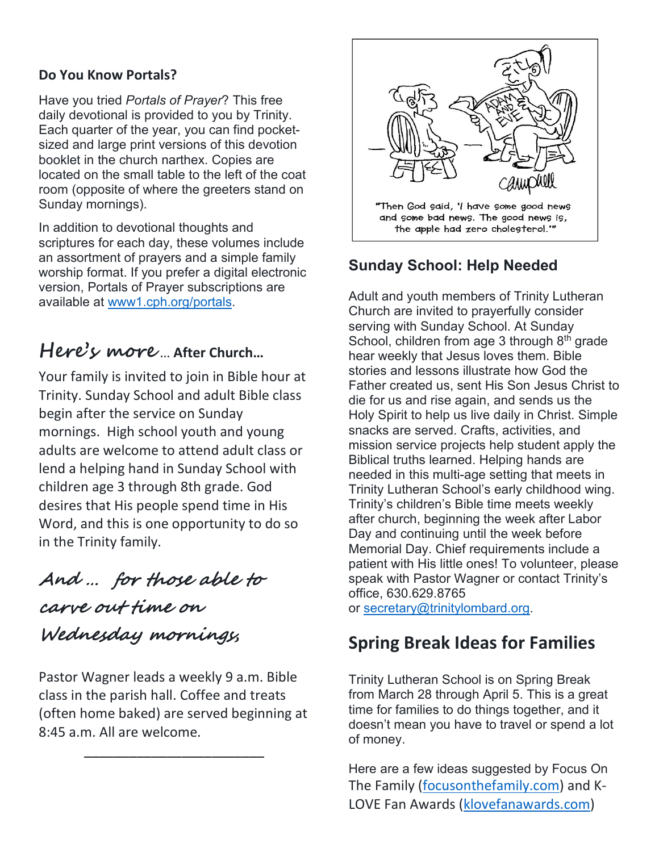#### **Do You Know Portals?**

Have you tried *Portals of Prayer*? This free daily devotional is provided to you by Trinity. Each quarter of the year, you can find pocketsized and large print versions of this devotion booklet in the church narthex. Copies are located on the small table to the left of the coat room (opposite of where the greeters stand on Sunday mornings).

In addition to devotional thoughts and scriptures for each day, these volumes include an assortment of prayers and a simple family worship format. If you prefer a digital electronic version, Portals of Prayer subscriptions are available at [www1.cph.org/portals.](https://www1.cph.org/portals/)

## **Here's more** … **After Church…**

Your family is invited to join in Bible hour at Trinity. Sunday School and adult Bible class begin after the service on Sunday mornings. High school youth and young adults are welcome to attend adult class or lend a helping hand in Sunday School with children age 3 through 8th grade. God desires that His people spend time in His Word, and this is one opportunity to do so in the Trinity family.

And … for those able to carve out time on Wednesday mornings**,**

Pastor Wagner leads a weekly 9 a.m. Bible class in the parish hall. Coffee and treats (often home baked) are served beginning at 8:45 a.m. All are welcome.

\_\_\_\_\_\_\_\_\_\_\_\_\_\_\_\_\_\_\_\_\_\_\_\_



and some bad news. The good news is, the apple had zero cholesterol."

#### **Sunday School: Help Needed**

Adult and youth members of Trinity Lutheran Church are invited to prayerfully consider serving with Sunday School. At Sunday School, children from age 3 through 8<sup>th</sup> grade hear weekly that Jesus loves them. Bible stories and lessons illustrate how God the Father created us, sent His Son Jesus Christ to die for us and rise again, and sends us the Holy Spirit to help us live daily in Christ. Simple snacks are served. Crafts, activities, and mission service projects help student apply the Biblical truths learned. Helping hands are needed in this multi-age setting that meets in Trinity Lutheran School's early childhood wing. Trinity's children's Bible time meets weekly after church, beginning the week after Labor Day and continuing until the week before Memorial Day. Chief requirements include a patient with His little ones! To volunteer, please speak with Pastor Wagner or contact Trinity's office, 630.629.8765

or [secretary@trinitylombard.org.](mailto:secretary@trinitylombard.org)

#### **Spring Break Ideas for Families**

Trinity Lutheran School is on Spring Break from March 28 through April 5. This is a great time for families to do things together, and it doesn't mean you have to travel or spend a lot of money.

Here are a few ideas suggested by Focus On The Family [\(focusonthefamily.com\)](https://www.focusonthefamily.com/) and K-LOVE Fan Awards [\(klovefanawards.com\)](http://www.klovefanawards.com/)